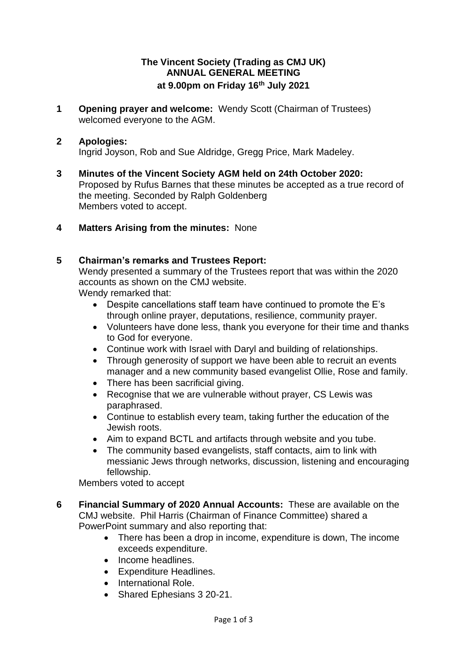## **The Vincent Society (Trading as CMJ UK) ANNUAL GENERAL MEETING at 9.00pm on Friday 16th July 2021**

**1 Opening prayer and welcome:** Wendy Scott (Chairman of Trustees) welcomed everyone to the AGM.

## **2 Apologies:**

Ingrid Joyson, Rob and Sue Aldridge, Gregg Price, Mark Madeley.

- **3 Minutes of the Vincent Society AGM held on 24th October 2020:** Proposed by Rufus Barnes that these minutes be accepted as a true record of the meeting. Seconded by Ralph Goldenberg Members voted to accept.
- **4 Matters Arising from the minutes:** None

## **5 Chairman's remarks and Trustees Report:**

Wendy presented a summary of the Trustees report that was within the 2020 accounts as shown on the CMJ website.

Wendy remarked that:

- Despite cancellations staff team have continued to promote the E's through online prayer, deputations, resilience, community prayer.
- Volunteers have done less, thank you everyone for their time and thanks to God for everyone.
- Continue work with Israel with Daryl and building of relationships.
- Through generosity of support we have been able to recruit an events manager and a new community based evangelist Ollie, Rose and family.
- There has been sacrificial giving.
- Recognise that we are vulnerable without prayer, CS Lewis was paraphrased.
- Continue to establish every team, taking further the education of the Jewish roots.
- Aim to expand BCTL and artifacts through website and you tube.
- The community based evangelists, staff contacts, aim to link with messianic Jews through networks, discussion, listening and encouraging fellowship.

Members voted to accept

- **6 Financial Summary of 2020 Annual Accounts:** These are available on the CMJ website. Phil Harris (Chairman of Finance Committee) shared a PowerPoint summary and also reporting that:
	- There has been a drop in income, expenditure is down, The income exceeds expenditure.
	- Income headlines.
	- Expenditure Headlines.
	- International Role.
	- Shared Ephesians 3 20-21.